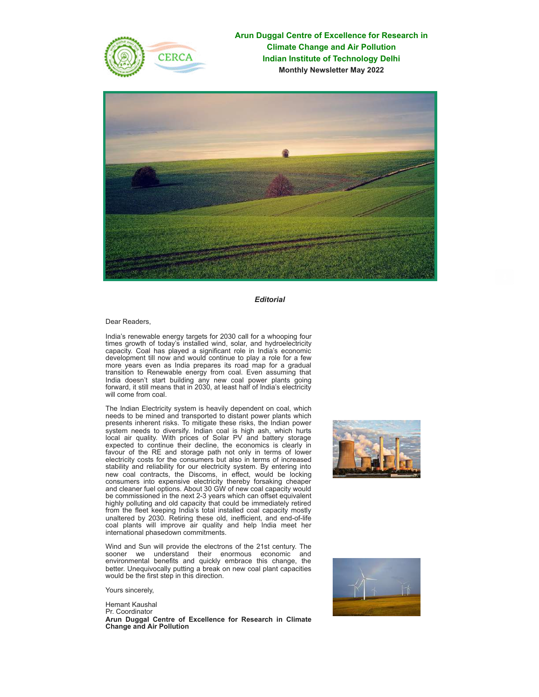

**Arun Duggal Centre of Excellence for Research in Climate Change and Air Pollution Indian Institute of Technology Delhi Monthly Newsletter May 2022**



*Editorial*

Dear Readers,

India's renewable energy targets for 2030 call for a whooping four times growth of today's installed wind, solar, and hydroelectricity capacity. Coal has played a significant role in India's economic development till now and would continue to play a role for a few more years even as India prepares its road map for a gradual transition to Renewable energy from coal. Even assuming that India doesn't start building any new coal power plants going forward, it still means that in 2030, at least half of India's electricity will come from coal.

The Indian Electricity system is heavily dependent on coal, which needs to be mined and transported to distant power plants which presents inherent risks. To mitigate these risks, the Indian power system needs to diversify. Indian coal is high ash, which hurts local air quality. With prices of Solar PV and battery storage expected to continue their decline, the economics is clearly in favour of the RE and storage path not only in terms of lower electricity costs for the consumers but also in terms of increased stability and reliability for our electricity system. By entering into new coal contracts, the Discoms, in effect, would be locking consumers into expensive electricity thereby forsaking cheaper and cleaner fuel options. About 30 GW of new coal capacity would be commissioned in the next 2-3 years which can offset equivalent highly polluting and old capacity that could be immediately retired from the fleet keeping India's total installed coal capacity mostly unaltered by 2030. Retiring these old, inefficient, and end-of-life coal plants will improve air quality and help India meet her international phasedown commitments.

Wind and Sun will provide the electrons of the 21st century. The sooner we understand their enormous economic and environmental benefits and quickly embrace this change, the better. Unequivocally putting a break on new coal plant capacities would be the first step in this direction.

Yours sincerely,

Hemant Kaushal Pr. Coordinator **Arun Duggal Centre of Excellence for Research in Climate Change and Air Pollution**



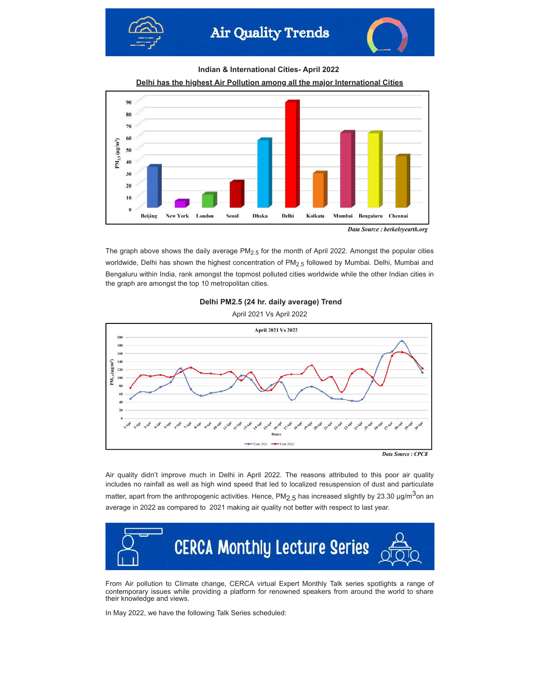



**Indian & International Cities- April 2022**





The graph above shows the daily average  $PM<sub>2.5</sub>$  for the month of April 2022. Amongst the popular cities worldwide, Delhi has shown the highest concentration of PM<sub>2.5</sub> followed by Mumbai. Delhi, Mumbai and Bengaluru within India, rank amongst the topmost polluted cities worldwide while the other Indian cities in the graph are amongst the top 10 metropolitan cities.



April 2021 Vs April 2022



Air quality didn't improve much in Delhi in April 2022. The reasons attributed to this poor air quality includes no rainfall as well as high wind speed that led to localized resuspension of dust and particulate matter, apart from the anthropogenic activities. Hence, PM<sub>2.5</sub> has increased slightly by 23.30  $\mu$ g/m<sup>3</sup>on an average in 2022 as compared to 2021 making air quality not better with respect to last year.



From Air pollution to Climate change, CERCA virtual Expert Monthly Talk series spotlights a range of contemporary issues while providing a platform for renowned speakers from around the world to share their knowledge and views.

In May 2022, we have the following Talk Series scheduled: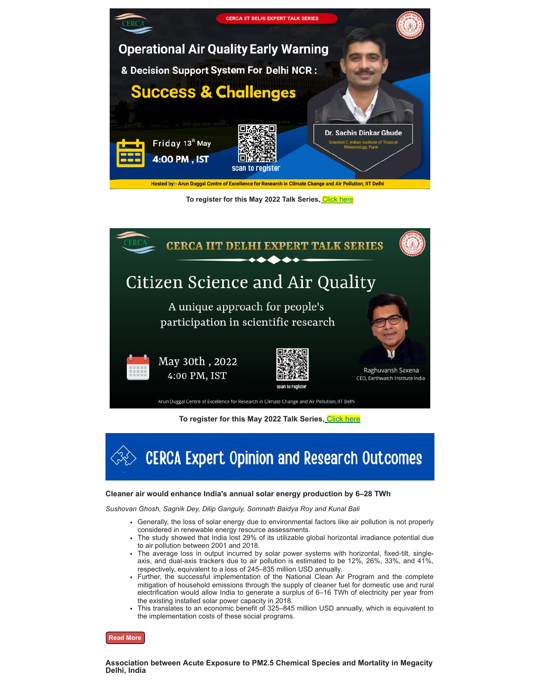

To register for this May 2022 Talk Series, [Click here](https://docs.google.com/forms/d/1GVt5MUxuSOpoiYGw34p8XTa7j0tKRYm2lqLUirzLjD8/viewform?edit_requested=true)



**To register for this May 2022 Talk Series,** [Click here](https://docs.google.com/forms/d/1gnnTaeLV7UCElCxDtmC9s9dl7E7CPdSvc3wwXyaTjrs/edit)

**CERCA Expert Opinion and Research Outcomes** 

## **Cleaner air would enhance India's annual solar energy production by 6–28 TWh**

*Sushovan Ghosh, Sagnik Dey, Dilip Ganguly, Somnath Baidya Roy and Kunal Bali*

- Generally, the loss of solar energy due to environmental factors like air pollution is not properly considered in renewable energy resource assessments.
- The study showed that India lost 29% of its utilizable global horizontal irradiance potential due to air pollution between 2001 and 2018.
- The average loss in output incurred by solar power systems with horizontal, fixed-tilt, singleaxis, and dual-axis trackers due to air pollution is estimated to be 12%, 26%, 33%, and 41%, respectively, equivalent to a loss of 245–835 million USD annually.
- Further, the successful implementation of the National Clean Air Program and the complete mitigation of household emissions through the supply of cleaner fuel for domestic use and rural electrification would allow India to generate a surplus of 6–16 TWh of electricity per year from the existing installed solar power capacity in 2018.
- This translates to an economic benefit of 325–845 million USD annually, which is equivalent to the implementation costs of these social programs.

**[Read More](https://iopscience.iop.org/article/10.1088/1748-9326/ac5d9a)**

**Association between Acute Exposure to PM2.5 Chemical Species and Mortality in Megacity Delhi, India**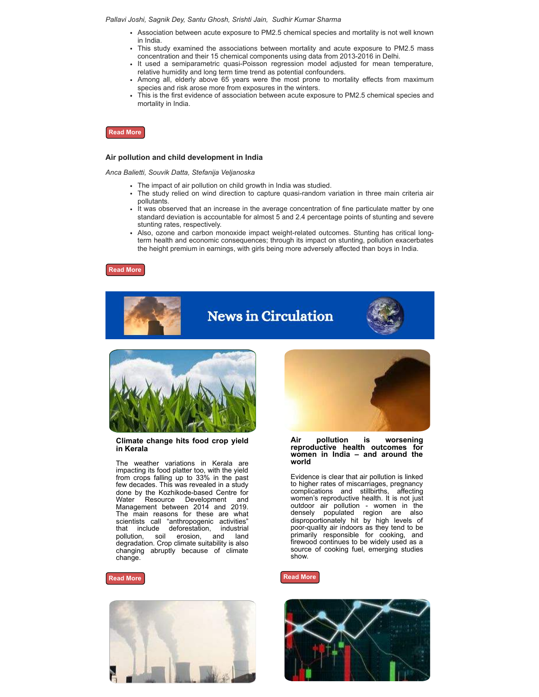#### *Pallavi Joshi, Sagnik Dey, Santu Ghosh, Srishti Jain, Sudhir Kumar Sharma*

- Association between acute exposure to PM2.5 chemical species and mortality is not well known in India.
- This study examined the associations between mortality and acute exposure to PM2.5 mass concentration and their 15 chemical components using data from 2013-2016 in Delhi.
- It used a semiparametric quasi-Poisson regression model adjusted for mean temperature, relative humidity and long term time trend as potential confounders.
- Among all, elderly above 65 years were the most prone to mortality effects from maximum species and risk arose more from exposures in the winters.
- This is the first evidence of association between acute exposure to PM2.5 chemical species and mortality in India.



### **Air pollution and child development in India**

*Anca Balietti, Souvik Datta, Stefanija Veljanoska*

- The impact of air pollution on child growth in India was studied.
- The study relied on wind direction to capture quasi-random variation in three main criteria air pollutants.
- It was observed that an increase in the average concentration of fine particulate matter by one standard deviation is accountable for almost 5 and 2.4 percentage points of stunting and severe stunting rates, respectively.
- Also, ozone and carbon monoxide impact weight-related outcomes. Stunting has critical longterm health and economic consequences; through its impact on stunting, pollution exacerbates the height premium in earnings, with girls being more adversely affected than boys in India.

**[Read More](https://www.sciencedirect.com/science/article/pii/S0095069622000122)**





### **Climate change hits food crop yield in Kerala**

The weather variations in Kerala are impacting its food platter too, with the yield from crops falling up to 33% in the past few decades. This was revealed in a study done by the Kozhikode-based Centre for<br>Water Resource Development and Resource Development and Management between 2014 and 2019. The main reasons for these are what scientists call "anthropogenic activities" that include deforestation, industrial pollution, soil erosion, and land degradation. Crop climate suitability is also changing abruptly because of climate change.







### **Air pollution is worsening reproductive health outcomes for women in India – and around the world**

Evidence is clear that air pollution is linked to higher rates of miscarriages, pregnancy complications and stillbirths, affecting women's reproductive health. It is not just outdoor air pollution - women in the densely populated region are also disproportionately hit by high levels of poor-quality air indoors as they tend to be primarily responsible for cooking, and firewood continues to be widely used as a source of cooking fuel, emerging studies show.